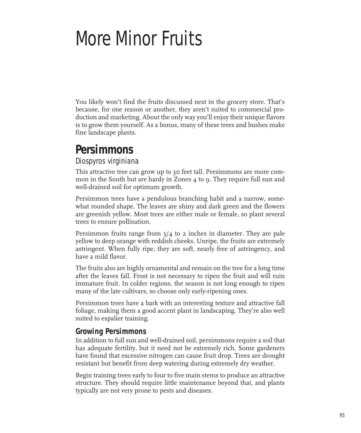# More Minor Fruits

You likely won't find the fruits discussed next in the grocery store. That's because, for one reason or another, they aren't suited to commercial production and marketing. About the only way you'll enjoy their unique flavors is to grow them yourself. As a bonus, many of these trees and bushes make fine landscape plants.

### **Persimmons**

#### *Diospyros virginiana*

This attractive tree can grow up to 30 feet tall. Persimmons are more common in the South but are hardy in Zones 4 to 9. They require full sun and well-drained soil for optimum growth.

Persimmon trees have a pendulous branching habit and a narrow, somewhat rounded shape. The leaves are shiny and dark green and the flowers are greenish yellow. Most trees are either male or female, so plant several trees to ensure pollination.

Persimmon fruits range from  $3/4$  to 2 inches in diameter. They are pale yellow to deep orange with reddish cheeks. Unripe, the fruits are extremely astringent. When fully ripe, they are soft, nearly free of astringency, and have a mild flavor.

The fruits also are highly ornamental and remain on the tree for a long time after the leaves fall. Frost is not necessary to ripen the fruit and will ruin immature fruit. In colder regions, the season is not long enough to ripen many of the late cultivars, so choose only early-ripening ones.

Persimmon trees have a bark with an interesting texture and attractive fall foliage, making them a good accent plant in landscaping. They're also well suited to espalier training.

### **Growing Persimmons**

In addition to full sun and well-drained soil, persimmons require a soil that has adequate fertility, but it need not be extremely rich. Some gardeners have found that excessive nitrogen can cause fruit drop. Trees are drought resistant but benefit from deep watering during extremely dry weather.

Begin training trees early to four to five main stems to produce an attractive structure. They should require little maintenance beyond that, and plants typically are not very prone to pests and diseases.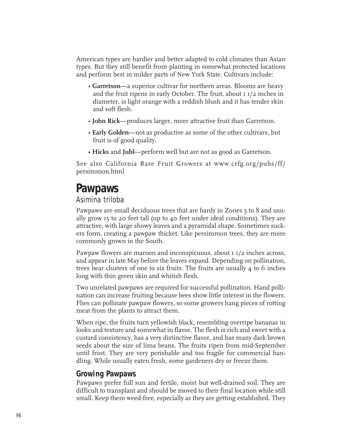American types are hardier and better adapted to cold climates than Asian types. But they still benefit from planting in somewhat protected locations and perform best in milder parts of New York State. Cultivars include:

- **Garretson**—a superior cultivar for northern areas. Blooms are heavy and the fruit ripens in early October. The fruit, about  $1/2$  inches in diameter, is light orange with a reddish blush and it has tender skin and soft flesh.
- • **John Rick**—produces larger, more attractive fruit than Garretson.
- **Early Golden**—not as productive as some of the other cultivars, but fruit is of good quality.
- **Hicks** and **Juhl**—perform well but are not as good as Garretson.

See also California Rare Fruit Growers at www.crfg.org/pubs/ff/ persimmon.html

### **Pawpaws**

#### *Asimina triloba*

Pawpaws are small deciduous trees that are hardy in Zones 5 to 8 and usually grow 15 to 20 feet tall (up to 40 feet under ideal conditions). They are attractive, with large showy leaves and a pyramidal shape. Sometimes suckers form, creating a pawpaw thicket. Like persimmon trees, they are more commonly grown in the South.

Pawpaw flowers are maroon and inconspicuous, about  $1/2$  inches across, and appear in late May before the leaves expand. Depending on pollination, trees bear clusters of one to six fruits. The fruits are usually 4 to 6 inches long with thin green skin and whitish flesh.

Two unrelated pawpaws are required for successful pollination. Hand pollination can increase fruiting because bees show little interest in the flowers. Flies can pollinate pawpaw flowers, so some growers hang pieces of rotting meat from the plants to attract them.

When ripe, the fruits turn yellowish black, resembling overripe bananas in looks and texture and somewhat in flavor. The flesh is rich and sweet with a custard consistency, has a very distinctive flavor, and has many dark brown seeds about the size of lima beans. The fruits ripen from mid-September until frost. They are very perishable and too fragile for commercial handling. While usually eaten fresh, some gardeners dry or freeze them.

#### **Growing Pawpaws**

Pawpaws prefer full sun and fertile, moist but well-drained soil. They are difficult to transplant and should be moved to their final location while still small. Keep them weed-free, especially as they are getting established. They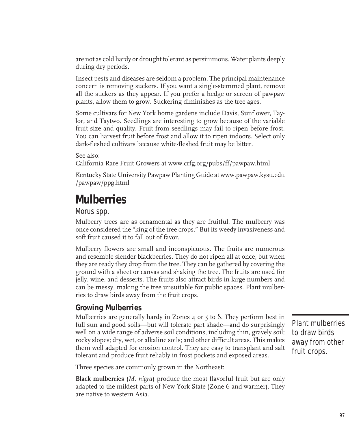are not as cold hardy or drought tolerant as persimmons. Water plants deeply during dry periods.

Insect pests and diseases are seldom a problem. The principal maintenance concern is removing suckers. If you want a single-stemmed plant, remove all the suckers as they appear. If you prefer a hedge or screen of pawpaw plants, allow them to grow. Suckering diminishes as the tree ages.

Some cultivars for New York home gardens include Davis, Sunflower, Taylor, and Taytwo. Seedlings are interesting to grow because of the variable fruit size and quality. Fruit from seedlings may fail to ripen before frost. You can harvest fruit before frost and allow it to ripen indoors. Select only dark-fleshed cultivars because white-fleshed fruit may be bitter.

See also: California Rare Fruit Growers at www.crfg.org/pubs/ff/pawpaw.html

Kentucky State University Pawpaw Planting Guide at www.pawpaw.kysu.edu /pawpaw/ppg.html

# **Mulberries**

*Morus* spp.

Mulberry trees are as ornamental as they are fruitful. The mulberry was once considered the "king of the tree crops." But its weedy invasiveness and soft fruit caused it to fall out of favor.

Mulberry flowers are small and inconspicuous. The fruits are numerous and resemble slender blackberries. They do not ripen all at once, but when they are ready they drop from the tree. They can be gathered by covering the ground with a sheet or canvas and shaking the tree. The fruits are used for jelly, wine, and desserts. The fruits also attract birds in large numbers and can be messy, making the tree unsuitable for public spaces. Plant mulberries to draw birds away from the fruit crops.

### **Growing Mulberries**

Mulberries are generally hardy in Zones 4 or 5 to 8. They perform best in full sun and good soils—but will tolerate part shade—and do surprisingly well on a wide range of adverse soil conditions, including thin, gravely soil; rocky slopes; dry, wet, or alkaline soils; and other difficult areas. This makes them well adapted for erosion control. They are easy to transplant and salt tolerant and produce fruit reliably in frost pockets and exposed areas.

Three species are commonly grown in the Northeast:

**Black mulberries** (*M. nigra*) produce the most flavorful fruit but are only adapted to the mildest parts of New York State (Zone 6 and warmer). They are native to western Asia.

Plant mulberries to draw birds away from other fruit crops.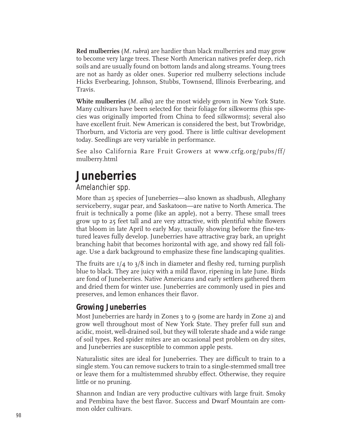**Red mulberries** (*M. rubra*) are hardier than black mulberries and may grow to become very large trees. These North American natives prefer deep, rich soils and are usually found on bottom lands and along streams. Young trees are not as hardy as older ones. Superior red mulberry selections include Hicks Everbearing, Johnson, Stubbs, Townsend, Illinois Everbearing, and Travis.

**White mulberries** (*M. alba*) are the most widely grown in New York State. Many cultivars have been selected for their foliage for silkworms (this species was originally imported from China to feed silkworms); several also have excellent fruit. New American is considered the best, but Trowbridge, Thorburn, and Victoria are very good. There is little cultivar development today. Seedlings are very variable in performance.

See also California Rare Fruit Growers at www.crfg.org/pubs/ff/ mulberry.html

### **Juneberries**

#### *Amelanchier* spp.

More than 25 species of Juneberries—also known as shadbush, Alleghany serviceberry, sugar pear, and Saskatoon—are native to North America. The fruit is technically a pome (like an apple), not a berry. These small trees grow up to 25 feet tall and are very attractive, with plentiful white flowers that bloom in late April to early May, usually showing before the fine-textured leaves fully develop. Juneberries have attractive gray bark, an upright branching habit that becomes horizontal with age, and showy red fall foliage. Use a dark background to emphasize these fine landscaping qualities.

The fruits are  $I/4$  to  $3/8$  inch in diameter and fleshy red, turning purplish blue to black. They are juicy with a mild flavor, ripening in late June. Birds are fond of Juneberries. Native Americans and early settlers gathered them and dried them for winter use. Juneberries are commonly used in pies and preserves, and lemon enhances their flavor.

### **Growing Juneberries**

Most Juneberries are hardy in Zones 3 to 9 (some are hardy in Zone 2) and grow well throughout most of New York State. They prefer full sun and acidic, moist, well-drained soil, but they will tolerate shade and a wide range of soil types. Red spider mites are an occasional pest problem on dry sites, and Juneberries are susceptible to common apple pests.

Naturalistic sites are ideal for Juneberries. They are difficult to train to a single stem. You can remove suckers to train to a single-stemmed small tree or leave them for a multistemmed shrubby effect. Otherwise, they require little or no pruning.

Shannon and Indian are very productive cultivars with large fruit. Smoky and Pembina have the best flavor. Success and Dwarf Mountain are common older cultivars.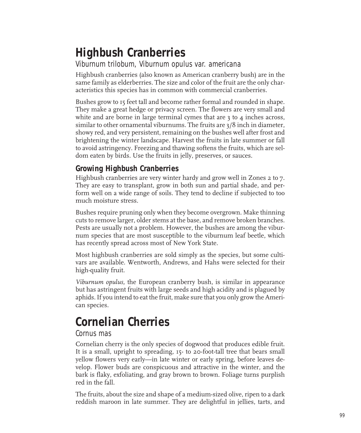# **Highbush Cranberries**

#### *Viburnum trilobum, Viburnum opulus* var. *americana*

Highbush cranberries (also known as American cranberry bush) are in the same family as elderberries. The size and color of the fruit are the only characteristics this species has in common with commercial cranberries.

Bushes grow to 15 feet tall and become rather formal and rounded in shape. They make a great hedge or privacy screen. The flowers are very small and white and are borne in large terminal cymes that are 3 to 4 inches across, similar to other ornamental viburnums. The fruits are 3/8 inch in diameter, showy red, and very persistent, remaining on the bushes well after frost and brightening the winter landscape. Harvest the fruits in late summer or fall to avoid astringency. Freezing and thawing softens the fruits, which are seldom eaten by birds. Use the fruits in jelly, preserves, or sauces.

### **Growing Highbush Cranberries**

Highbush cranberries are very winter hardy and grow well in Zones 2 to 7. They are easy to transplant, grow in both sun and partial shade, and perform well on a wide range of soils. They tend to decline if subjected to too much moisture stress.

Bushes require pruning only when they become overgrown. Make thinning cuts to remove larger, older stems at the base, and remove broken branches. Pests are usually not a problem. However, the bushes are among the viburnum species that are most susceptible to the viburnum leaf beetle, which has recently spread across most of New York State.

Most highbush cranberries are sold simply as the species, but some cultivars are available. Wentworth, Andrews, and Hahs were selected for their high-quality fruit.

*Viburnum opulus,* the European cranberry bush, is similar in appearance but has astringent fruits with large seeds and high acidity and is plagued by aphids. If you intend to eat the fruit, make sure that you only grow the American species.

# **Cornelian Cherries**

#### *Cornus mas*

Cornelian cherry is the only species of dogwood that produces edible fruit. It is a small, upright to spreading, 15- to 20-foot-tall tree that bears small yellow flowers very early—in late winter or early spring, before leaves develop. Flower buds are conspicuous and attractive in the winter, and the bark is flaky, exfoliating, and gray brown to brown. Foliage turns purplish red in the fall.

The fruits, about the size and shape of a medium-sized olive, ripen to a dark reddish maroon in late summer. They are delightful in jellies, tarts, and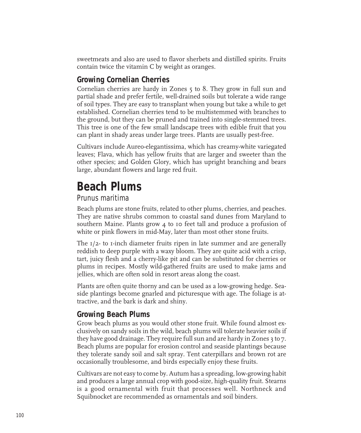sweetmeats and also are used to flavor sherbets and distilled spirits. Fruits contain twice the vitamin C by weight as oranges.

### **Growing Cornelian Cherries**

Cornelian cherries are hardy in Zones 5 to 8. They grow in full sun and partial shade and prefer fertile, well-drained soils but tolerate a wide range of soil types. They are easy to transplant when young but take a while to get established. Cornelian cherries tend to be multistemmed with branches to the ground, but they can be pruned and trained into single-stemmed trees. This tree is one of the few small landscape trees with edible fruit that you can plant in shady areas under large trees. Plants are usually pest-free.

Cultivars include Aureo-elegantissima, which has creamy-white variegated leaves; Flava, which has yellow fruits that are larger and sweeter than the other species; and Golden Glory, which has upright branching and bears large, abundant flowers and large red fruit.

# **Beach Plums**

#### *Prunus maritima*

Beach plums are stone fruits, related to other plums, cherries, and peaches. They are native shrubs common to coastal sand dunes from Maryland to southern Maine. Plants grow 4 to 10 feet tall and produce a profusion of white or pink flowers in mid-May, later than most other stone fruits.

The 1/2- to 1-inch diameter fruits ripen in late summer and are generally reddish to deep purple with a waxy bloom. They are quite acid with a crisp, tart, juicy flesh and a cherry-like pit and can be substituted for cherries or plums in recipes. Mostly wild-gathered fruits are used to make jams and jellies, which are often sold in resort areas along the coast.

Plants are often quite thorny and can be used as a low-growing hedge. Seaside plantings become gnarled and picturesque with age. The foliage is attractive, and the bark is dark and shiny.

### **Growing Beach Plums**

Grow beach plums as you would other stone fruit. While found almost exclusively on sandy soils in the wild, beach plums will tolerate heavier soils if they have good drainage. They require full sun and are hardy in Zones 3 to 7. Beach plums are popular for erosion control and seaside plantings because they tolerate sandy soil and salt spray. Tent caterpillars and brown rot are occasionally troublesome, and birds especially enjoy these fruits.

Cultivars are not easy to come by. Autum has a spreading, low-growing habit and produces a large annual crop with good-size, high-quality fruit. Stearns is a good ornamental with fruit that processes well. Northneck and Squibnocket are recommended as ornamentals and soil binders.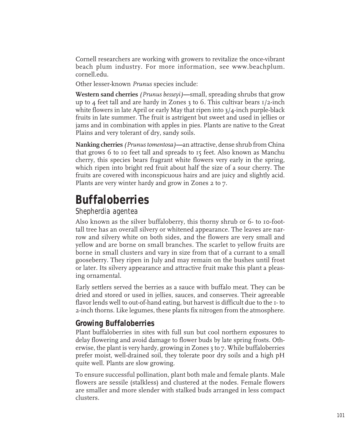Cornell researchers are working with growers to revitalize the once-vibrant beach plum industry. For more information, see www.beachplum. cornell.edu.

Other lesser-known *Prunus* species include:

**Western sand cherries** *(Prunus besseyi)***—**small, spreading shrubs that grow up to 4 feet tall and are hardy in Zones 3 to 6. This cultivar bears 1/2-inch white flowers in late April or early May that ripen into 3/4-inch purple-black fruits in late summer. The fruit is astrigent but sweet and used in jellies or jams and in combination with apples in pies. Plants are native to the Great Plains and very tolerant of dry, sandy soils.

**Nanking cherries** *(Prunus tomentosa)***—**an attractive, dense shrub from China that grows 6 to 10 feet tall and spreads to 15 feet. Also known as Manchu cherry, this species bears fragrant white flowers very early in the spring, which ripen into bright red fruit about half the size of a sour cherry. The fruits are covered with inconspicuous hairs and are juicy and slightly acid. Plants are very winter hardy and grow in Zones 2 to 7.

### **Buffaloberries**

### *Shepherdia agentea*

Also known as the silver buffaloberry, this thorny shrub or 6- to 10-foottall tree has an overall silvery or whitened appearance. The leaves are narrow and silvery white on both sides, and the flowers are very small and yellow and are borne on small branches. The scarlet to yellow fruits are borne in small clusters and vary in size from that of a currant to a small gooseberry. They ripen in July and may remain on the bushes until frost or later. Its silvery appearance and attractive fruit make this plant a pleasing ornamental.

Early settlers served the berries as a sauce with buffalo meat. They can be dried and stored or used in jellies, sauces, and conserves. Their agreeable flavor lends well to out-of-hand eating, but harvest is difficult due to the 1- to 2-inch thorns. Like legumes, these plants fix nitrogen from the atmosphere.

### **Growing Buffaloberries**

Plant buffaloberries in sites with full sun but cool northern exposures to delay flowering and avoid damage to flower buds by late spring frosts. Otherwise, the plant is very hardy, growing in Zones 3 to 7. While buffaloberries prefer moist, well-drained soil, they tolerate poor dry soils and a high pH quite well. Plants are slow growing.

To ensure successful pollination, plant both male and female plants. Male flowers are sessile (stalkless) and clustered at the nodes. Female flowers are smaller and more slender with stalked buds arranged in less compact clusters.